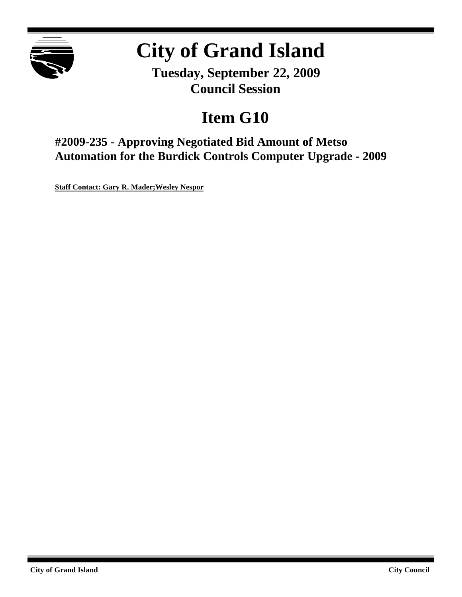

# **City of Grand Island**

**Tuesday, September 22, 2009 Council Session**

## **Item G10**

**#2009-235 - Approving Negotiated Bid Amount of Metso Automation for the Burdick Controls Computer Upgrade - 2009**

**Staff Contact: Gary R. Mader;Wesley Nespor**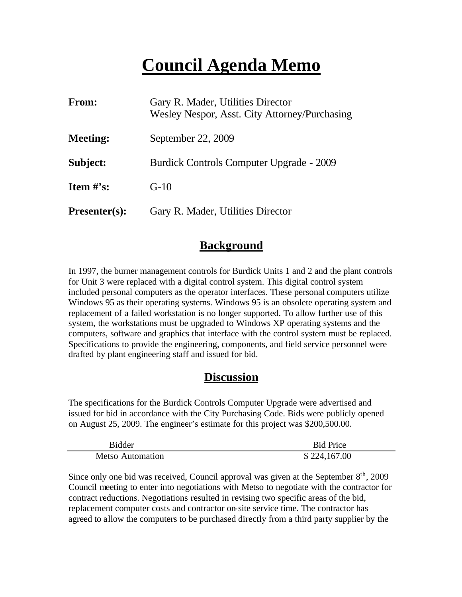## **Council Agenda Memo**

| From:                | Gary R. Mader, Utilities Director<br>Wesley Nespor, Asst. City Attorney/Purchasing |  |
|----------------------|------------------------------------------------------------------------------------|--|
| <b>Meeting:</b>      | September 22, 2009                                                                 |  |
| Subject:             | Burdick Controls Computer Upgrade - 2009                                           |  |
| Item $\#$ 's:        | $G-10$                                                                             |  |
| <b>Presenter(s):</b> | Gary R. Mader, Utilities Director                                                  |  |

### **Background**

In 1997, the burner management controls for Burdick Units 1 and 2 and the plant controls for Unit 3 were replaced with a digital control system. This digital control system included personal computers as the operator interfaces. These personal computers utilize Windows 95 as their operating systems. Windows 95 is an obsolete operating system and replacement of a failed workstation is no longer supported. To allow further use of this system, the workstations must be upgraded to Windows XP operating systems and the computers, software and graphics that interface with the control system must be replaced. Specifications to provide the engineering, components, and field service personnel were drafted by plant engineering staff and issued for bid.

### **Discussion**

The specifications for the Burdick Controls Computer Upgrade were advertised and issued for bid in accordance with the City Purchasing Code. Bids were publicly opened on August 25, 2009. The engineer's estimate for this project was \$200,500.00.

| Bidder                  | <b>Bid Price</b> |
|-------------------------|------------------|
| <b>Metso Automation</b> | \$224,167.00     |

Since only one bid was received, Council approval was given at the September  $8<sup>th</sup>$ , 2009 Council meeting to enter into negotiations with Metso to negotiate with the contractor for contract reductions. Negotiations resulted in revising two specific areas of the bid, replacement computer costs and contractor on-site service time. The contractor has agreed to allow the computers to be purchased directly from a third party supplier by the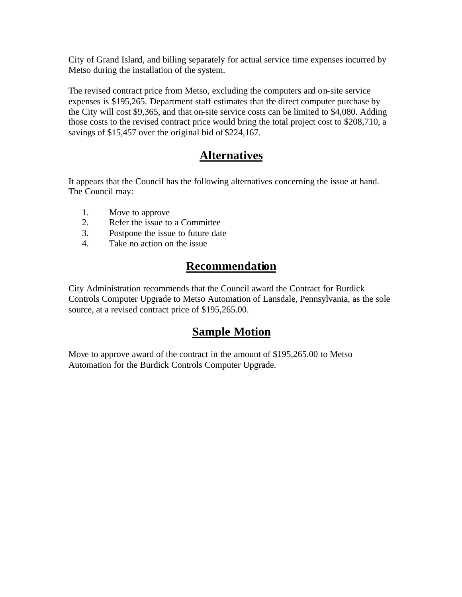City of Grand Island, and billing separately for actual service time expenses incurred by Metso during the installation of the system.

The revised contract price from Metso, excluding the computers and on-site service expenses is \$195,265. Department staff estimates that the direct computer purchase by the City will cost \$9,365, and that on-site service costs can be limited to \$4,080. Adding those costs to the revised contract price would bring the total project cost to \$208,710, a savings of \$15,457 over the original bid of \$224,167.

## **Alternatives**

It appears that the Council has the following alternatives concerning the issue at hand. The Council may:

- 1. Move to approve
- 2. Refer the issue to a Committee
- 3. Postpone the issue to future date
- 4. Take no action on the issue

## **Recommendation**

City Administration recommends that the Council award the Contract for Burdick Controls Computer Upgrade to Metso Automation of Lansdale, Pennsylvania, as the sole source, at a revised contract price of \$195,265.00.

## **Sample Motion**

Move to approve award of the contract in the amount of \$195,265.00 to Metso Automation for the Burdick Controls Computer Upgrade.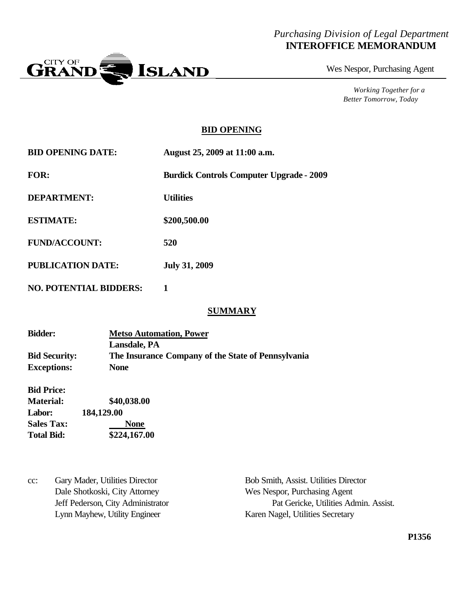#### *Purchasing Division of Legal Department* **INTEROFFICE MEMORANDUM**



Wes Nespor, Purchasing Agent

*Working Together for a Better Tomorrow, Today*

#### **BID OPENING**

| <b>BID OPENING DATE:</b>      | August 25, 2009 at 11:00 a.m.                   |  |  |  |
|-------------------------------|-------------------------------------------------|--|--|--|
| <b>FOR:</b>                   | <b>Burdick Controls Computer Upgrade - 2009</b> |  |  |  |
| <b>DEPARTMENT:</b>            | <b>Utilities</b>                                |  |  |  |
| <b>ESTIMATE:</b>              | \$200,500.00                                    |  |  |  |
| <b>FUND/ACCOUNT:</b>          | 520                                             |  |  |  |
| <b>PUBLICATION DATE:</b>      | <b>July 31, 2009</b>                            |  |  |  |
| <b>NO. POTENTIAL BIDDERS:</b> |                                                 |  |  |  |

#### **SUMMARY**

| <b>Bidder:</b>       | <b>Metso Automation, Power</b>                     |  |
|----------------------|----------------------------------------------------|--|
|                      | <b>Lansdale, PA</b>                                |  |
| <b>Bid Security:</b> | The Insurance Company of the State of Pennsylvania |  |
| <b>Exceptions:</b>   | <b>None</b>                                        |  |

| <b>Bid Price:</b> |              |
|-------------------|--------------|
| <b>Material:</b>  | \$40,038.00  |
| <b>Labor:</b>     | 184,129.00   |
| <b>Sales Tax:</b> | <b>None</b>  |
| <b>Total Bid:</b> | \$224,167.00 |

cc: Gary Mader, Utilities Director Bob Smith, Assist. Utilities Director Dale Shotkoski, City Attorney Wes Nespor, Purchasing Agent Lynn Mayhew, Utility Engineer Karen Nagel, Utilities Secretary

Jeff Pederson, City Administrator Pat Gericke, Utilities Admin. Assist.